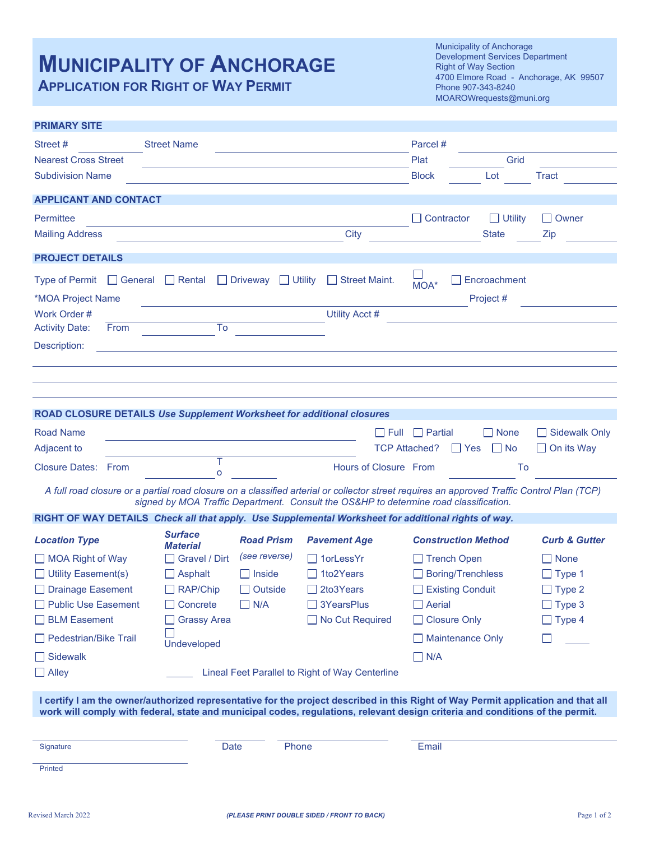# **MUNICIPALITY OF ANCHORAGE**

**APPLICATION FOR RIGHT OF WAY PERMIT**

**PRIMARY SITE**

Municipality of Anchorage Development Services Department Right of Way Section 4700 Elmore Road - Anchorage, AK 99507 Phone 907-343-8240 MOAROWrequests@muni.org

| Street #<br><b>Nearest Cross Street</b><br><b>Subdivision Name</b>                                                                                                                                                                                                 | <b>Street Name</b>                                                           |                                                                |                                                                             | Parcel#<br>Plat<br><b>Block</b>                                                                     | Grid<br>Lot                    | Tract                                                          |  |
|--------------------------------------------------------------------------------------------------------------------------------------------------------------------------------------------------------------------------------------------------------------------|------------------------------------------------------------------------------|----------------------------------------------------------------|-----------------------------------------------------------------------------|-----------------------------------------------------------------------------------------------------|--------------------------------|----------------------------------------------------------------|--|
|                                                                                                                                                                                                                                                                    |                                                                              |                                                                |                                                                             |                                                                                                     |                                |                                                                |  |
| <b>APPLICANT AND CONTACT</b>                                                                                                                                                                                                                                       |                                                                              |                                                                |                                                                             |                                                                                                     |                                |                                                                |  |
| Permittee<br><b>Mailing Address</b>                                                                                                                                                                                                                                |                                                                              |                                                                | City                                                                        | $\Box$ Contractor                                                                                   | $\Box$ Utility<br><b>State</b> | $\Box$ Owner<br>Zip                                            |  |
| <b>PROJECT DETAILS</b>                                                                                                                                                                                                                                             |                                                                              |                                                                |                                                                             |                                                                                                     |                                |                                                                |  |
| Type of Permit $\Box$ General $\Box$ Rental $\Box$ Driveway $\Box$ Utility<br>*MOA Project Name<br>Work Order #                                                                                                                                                    |                                                                              |                                                                | Street Maint.<br>Utility Acct #                                             | MOA*                                                                                                | Encroachment<br>Project #      |                                                                |  |
| <b>Activity Date:</b><br>From<br>Description:                                                                                                                                                                                                                      | To                                                                           |                                                                |                                                                             |                                                                                                     |                                |                                                                |  |
|                                                                                                                                                                                                                                                                    |                                                                              |                                                                |                                                                             |                                                                                                     |                                |                                                                |  |
|                                                                                                                                                                                                                                                                    |                                                                              |                                                                |                                                                             |                                                                                                     |                                |                                                                |  |
| ROAD CLOSURE DETAILS Use Supplement Worksheet for additional closures                                                                                                                                                                                              |                                                                              |                                                                |                                                                             |                                                                                                     |                                |                                                                |  |
| <b>Road Name</b><br>Adjacent to                                                                                                                                                                                                                                    |                                                                              |                                                                |                                                                             | Full Partial<br><b>TCP Attached?</b><br>l Yes                                                       | $\Box$ None<br>$\Box$ No       | Sidewalk Only<br>$\Box$ On its Way                             |  |
| <b>Closure Dates: From</b>                                                                                                                                                                                                                                         | T<br>$\Omega$                                                                |                                                                | Hours of Closure From                                                       |                                                                                                     | To                             |                                                                |  |
| A full road closure or a partial road closure on a classified arterial or collector street requires an approved Traffic Control Plan (TCP)<br>signed by MOA Traffic Department. Consult the OS&HP to determine road classification.                                |                                                                              |                                                                |                                                                             |                                                                                                     |                                |                                                                |  |
| RIGHT OF WAY DETAILS Check all that apply. Use Supplemental Worksheet for additional rights of way.                                                                                                                                                                |                                                                              |                                                                |                                                                             |                                                                                                     |                                |                                                                |  |
| <b>Location Type</b>                                                                                                                                                                                                                                               | <b>Surface</b><br><b>Material</b>                                            | <b>Road Prism</b>                                              | <b>Pavement Age</b>                                                         | <b>Construction Method</b>                                                                          |                                | <b>Curb &amp; Gutter</b>                                       |  |
| $\Box$ MOA Right of Way<br>$\Box$ Utility Easement(s)<br>□ Drainage Easement<br>Public Use Easement                                                                                                                                                                | $\Box$ Gravel / Dirt<br>$\Box$ Asphalt<br>$\Box$ RAP/Chip<br>$\Box$ Concrete | (see reverse)<br>$\Box$ Inside<br>$\Box$ Outside<br>$\Box$ N/A | $\Box$ 1 or Less Yr<br>$\Box$ 1to2Years<br>$\Box$ 2to3Years<br>□ 3YearsPlus | $\Box$ Trench Open<br><b>Boring/Trenchless</b><br>$\mathsf{L}$<br>Existing Conduit<br>$\Box$ Aerial |                                | $\Box$ None<br>$\Box$ Type 1<br>$\Box$ Type 2<br>$\Box$ Type 3 |  |
| $\Box$ BLM Easement                                                                                                                                                                                                                                                | $\Box$ Grassy Area                                                           |                                                                | $\Box$ No Cut Required                                                      | □ Closure Only                                                                                      |                                | $\Box$ Type 4                                                  |  |
| $\Box$ Pedestrian/Bike Trail                                                                                                                                                                                                                                       | Undeveloped                                                                  |                                                                |                                                                             | Maintenance Only                                                                                    |                                |                                                                |  |
| $\Box$ Sidewalk                                                                                                                                                                                                                                                    |                                                                              |                                                                |                                                                             | $\Box$ N/A                                                                                          |                                |                                                                |  |
| $\Box$ Alley<br>Lineal Feet Parallel to Right of Way Centerline                                                                                                                                                                                                    |                                                                              |                                                                |                                                                             |                                                                                                     |                                |                                                                |  |
| I certify I am the owner/authorized representative for the project described in this Right of Way Permit application and that all<br>work will comply with federal, state and municipal codes, regulations, relevant design criteria and conditions of the permit. |                                                                              |                                                                |                                                                             |                                                                                                     |                                |                                                                |  |
|                                                                                                                                                                                                                                                                    |                                                                              |                                                                |                                                                             |                                                                                                     |                                |                                                                |  |
| Signature                                                                                                                                                                                                                                                          | Date                                                                         | Phone                                                          |                                                                             | Email                                                                                               |                                |                                                                |  |
| Printed                                                                                                                                                                                                                                                            |                                                                              |                                                                |                                                                             |                                                                                                     |                                |                                                                |  |
|                                                                                                                                                                                                                                                                    |                                                                              |                                                                |                                                                             |                                                                                                     |                                |                                                                |  |